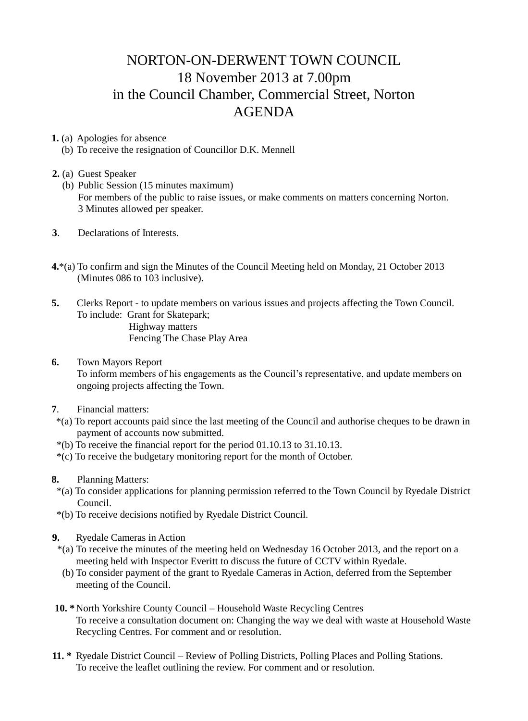## NORTON-ON-DERWENT TOWN COUNCIL 18 November 2013 at 7.00pm in the Council Chamber, Commercial Street, Norton AGENDA

**1.** (a) Apologies for absence

(b) To receive the resignation of Councillor D.K. Mennell

## **2.** (a) Guest Speaker

- (b) Public Session (15 minutes maximum) For members of the public to raise issues, or make comments on matters concerning Norton. 3 Minutes allowed per speaker.
- **3**. Declarations of Interests.
- **4.**\*(a) To confirm and sign the Minutes of the Council Meeting held on Monday, 21 October 2013 (Minutes 086 to 103 inclusive).
- **5.** Clerks Report to update members on various issues and projects affecting the Town Council. To include: Grant for Skatepark; Highway matters Fencing The Chase Play Area
- **6.** Town Mayors Report To inform members of his engagements as the Council's representative, and update members on ongoing projects affecting the Town.
- **7**. Financial matters:
- \*(a) To report accounts paid since the last meeting of the Council and authorise cheques to be drawn in payment of accounts now submitted.
- \*(b) To receive the financial report for the period 01.10.13 to 31.10.13.
- \*(c) To receive the budgetary monitoring report for the month of October.
- **8.** Planning Matters:
	- \*(a) To consider applications for planning permission referred to the Town Council by Ryedale District Council.
	- \*(b) To receive decisions notified by Ryedale District Council.
- **9.** Ryedale Cameras in Action
	- \*(a) To receive the minutes of the meeting held on Wednesday 16 October 2013, and the report on a meeting held with Inspector Everitt to discuss the future of CCTV within Ryedale.
	- (b) To consider payment of the grant to Ryedale Cameras in Action, deferred from the September meeting of the Council.
- **10. \***North Yorkshire County Council Household Waste Recycling Centres To receive a consultation document on: Changing the way we deal with waste at Household Waste Recycling Centres. For comment and or resolution.
- **11. \*** Ryedale District Council Review of Polling Districts, Polling Places and Polling Stations. To receive the leaflet outlining the review. For comment and or resolution.